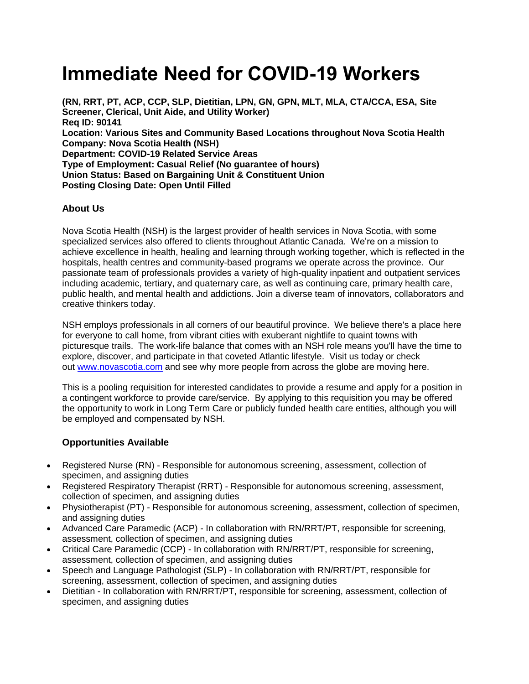# **Immediate Need for COVID-19 Workers**

**(RN, RRT, PT, ACP, CCP, SLP, Dietitian, LPN, GN, GPN, MLT, MLA, CTA/CCA, ESA, Site Screener, Clerical, Unit Aide, and Utility Worker) Req ID: 90141 Location: Various Sites and Community Based Locations throughout Nova Scotia Health Company: Nova Scotia Health (NSH) Department: COVID-19 Related Service Areas Type of Employment: Casual Relief (No guarantee of hours) Union Status: Based on Bargaining Unit & Constituent Union Posting Closing Date: Open Until Filled**

# **About Us**

Nova Scotia Health (NSH) is the largest provider of health services in Nova Scotia, with some specialized services also offered to clients throughout Atlantic Canada. We're on a mission to achieve excellence in health, healing and learning through working together, which is reflected in the hospitals, health centres and community-based programs we operate across the province. Our passionate team of professionals provides a variety of high-quality inpatient and outpatient services including academic, tertiary, and quaternary care, as well as continuing care, primary health care, public health, and mental health and addictions. Join a diverse team of innovators, collaborators and creative thinkers today.

NSH employs professionals in all corners of our beautiful province. We believe there's a place here for everyone to call home, from vibrant cities with exuberant nightlife to quaint towns with picturesque trails. The work-life balance that comes with an NSH role means you'll have the time to explore, discover, and participate in that coveted Atlantic lifestyle. Visit us today or check out [www.novascotia.com](javascript:void(0);) and see why more people from across the globe are moving here.

This is a pooling requisition for interested candidates to provide a resume and apply for a position in a contingent workforce to provide care/service. By applying to this requisition you may be offered the opportunity to work in Long Term Care or publicly funded health care entities, although you will be employed and compensated by NSH.

## **Opportunities Available**

- Registered Nurse (RN) Responsible for autonomous screening, assessment, collection of specimen, and assigning duties
- Registered Respiratory Therapist (RRT) Responsible for autonomous screening, assessment, collection of specimen, and assigning duties
- Physiotherapist (PT) Responsible for autonomous screening, assessment, collection of specimen, and assigning duties
- Advanced Care Paramedic (ACP) In collaboration with RN/RRT/PT, responsible for screening, assessment, collection of specimen, and assigning duties
- Critical Care Paramedic (CCP) In collaboration with RN/RRT/PT, responsible for screening, assessment, collection of specimen, and assigning duties
- Speech and Language Pathologist (SLP) In collaboration with RN/RRT/PT, responsible for screening, assessment, collection of specimen, and assigning duties
- Dietitian In collaboration with RN/RRT/PT, responsible for screening, assessment, collection of specimen, and assigning duties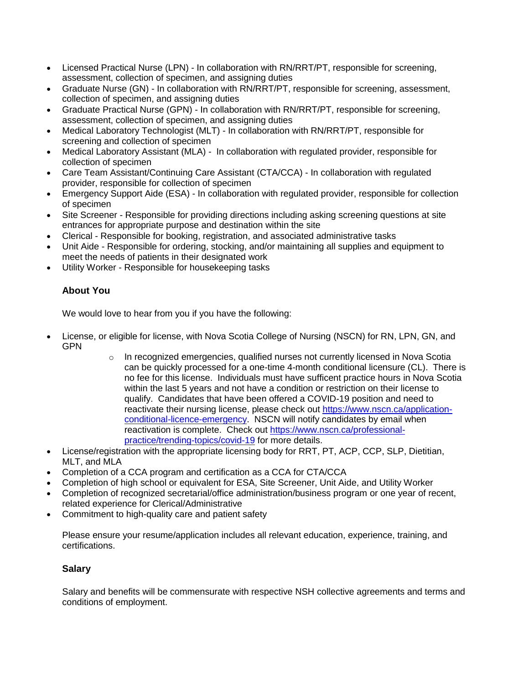- Licensed Practical Nurse (LPN) In collaboration with RN/RRT/PT, responsible for screening, assessment, collection of specimen, and assigning duties
- Graduate Nurse (GN) In collaboration with RN/RRT/PT, responsible for screening, assessment, collection of specimen, and assigning duties
- Graduate Practical Nurse (GPN) In collaboration with RN/RRT/PT, responsible for screening, assessment, collection of specimen, and assigning duties
- Medical Laboratory Technologist (MLT) In collaboration with RN/RRT/PT, responsible for screening and collection of specimen
- Medical Laboratory Assistant (MLA) In collaboration with regulated provider, responsible for collection of specimen
- Care Team Assistant/Continuing Care Assistant (CTA/CCA) In collaboration with regulated provider, responsible for collection of specimen
- Emergency Support Aide (ESA) In collaboration with regulated provider, responsible for collection of specimen
- Site Screener Responsible for providing directions including asking screening questions at site entrances for appropriate purpose and destination within the site
- Clerical Responsible for booking, registration, and associated administrative tasks
- Unit Aide Responsible for ordering, stocking, and/or maintaining all supplies and equipment to meet the needs of patients in their designated work
- Utility Worker Responsible for housekeeping tasks

## **About You**

We would love to hear from you if you have the following:

- License, or eligible for license, with Nova Scotia College of Nursing (NSCN) for RN, LPN, GN, and GPN
	- $\circ$  In recognized emergencies, qualified nurses not currently licensed in Nova Scotia can be quickly processed for a one-time 4-month conditional licensure (CL). There is no fee for this license. Individuals must have sufficent practice hours in Nova Scotia within the last 5 years and not have a condition or restriction on their license to qualify. Candidates that have been offered a COVID-19 position and need to reactivate their nursing license, please check out [https://www.nscn.ca/application](https://www.nscn.ca/application-conditional-licence-emergency)[conditional-licence-emergency.](https://www.nscn.ca/application-conditional-licence-emergency) NSCN will notify candidates by email when reactivation is complete. Check out [https://www.nscn.ca/professional](https://www.nscn.ca/professional-practice/trending-topics/covid-19)[practice/trending-topics/covid-19](https://www.nscn.ca/professional-practice/trending-topics/covid-19) for more details.
- License/registration with the appropriate licensing body for RRT, PT, ACP, CCP, SLP, Dietitian, MLT, and MLA
- Completion of a CCA program and certification as a CCA for CTA/CCA
- Completion of high school or equivalent for ESA, Site Screener, Unit Aide, and Utility Worker
- Completion of recognized secretarial/office administration/business program or one year of recent, related experience for Clerical/Administrative
- Commitment to high-quality care and patient safety

Please ensure your resume/application includes all relevant education, experience, training, and certifications.

## **Salary**

Salary and benefits will be commensurate with respective NSH collective agreements and terms and conditions of employment.